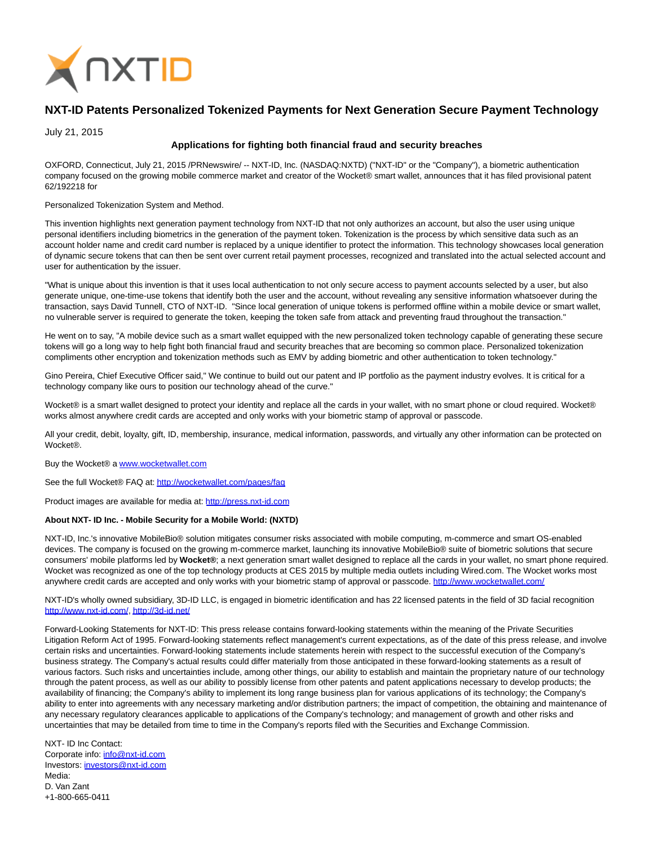

# **NXT-ID Patents Personalized Tokenized Payments for Next Generation Secure Payment Technology**

July 21, 2015

## **Applications for fighting both financial fraud and security breaches**

OXFORD, Connecticut, July 21, 2015 /PRNewswire/ -- NXT-ID, Inc. (NASDAQ:NXTD) ("NXT-ID" or the "Company"), a biometric authentication company focused on the growing mobile commerce market and creator of the Wocket® smart wallet, announces that it has filed provisional patent 62/192218 for

#### Personalized Tokenization System and Method.

This invention highlights next generation payment technology from NXT-ID that not only authorizes an account, but also the user using unique personal identifiers including biometrics in the generation of the payment token. Tokenization is the process by which sensitive data such as an account holder name and credit card number is replaced by a unique identifier to protect the information. This technology showcases local generation of dynamic secure tokens that can then be sent over current retail payment processes, recognized and translated into the actual selected account and user for authentication by the issuer.

"What is unique about this invention is that it uses local authentication to not only secure access to payment accounts selected by a user, but also generate unique, one-time-use tokens that identify both the user and the account, without revealing any sensitive information whatsoever during the transaction, says David Tunnell, CTO of NXT-ID. "Since local generation of unique tokens is performed offline within a mobile device or smart wallet, no vulnerable server is required to generate the token, keeping the token safe from attack and preventing fraud throughout the transaction."

He went on to say, "A mobile device such as a smart wallet equipped with the new personalized token technology capable of generating these secure tokens will go a long way to help fight both financial fraud and security breaches that are becoming so common place. Personalized tokenization compliments other encryption and tokenization methods such as EMV by adding biometric and other authentication to token technology."

Gino Pereira, Chief Executive Officer said," We continue to build out our patent and IP portfolio as the payment industry evolves. It is critical for a technology company like ours to position our technology ahead of the curve."

Wocket® is a smart wallet designed to protect your identity and replace all the cards in your wallet, with no smart phone or cloud required. Wocket® works almost anywhere credit cards are accepted and only works with your biometric stamp of approval or passcode.

All your credit, debit, loyalty, gift, ID, membership, insurance, medical information, passwords, and virtually any other information can be protected on Wocket®.

#### Buy the Wocket® a [www.wocketwallet.com](http://www.wocketwallet.com/)

See the full Wocket® FAQ at:<http://wocketwallet.com/pages/faq>

Product images are available for media at: [http://press.nxt-id.com](http://press.nxt-id.com/)

### **About NXT- ID Inc. - Mobile Security for a Mobile World: (NXTD)**

NXT-ID, Inc.'s innovative MobileBio® solution mitigates consumer risks associated with mobile computing, m-commerce and smart OS-enabled devices. The company is focused on the growing m-commerce market, launching its innovative MobileBio® suite of biometric solutions that secure consumers' mobile platforms led by **Wocket®**; a next generation smart wallet designed to replace all the cards in your wallet, no smart phone required. Wocket was recognized as one of the top technology products at CES 2015 by multiple media outlets including Wired.com. The Wocket works most anywhere credit cards are accepted and only works with your biometric stamp of approval or passcode.<http://www.wocketwallet.com/>

NXT-ID's wholly owned subsidiary, 3D-ID LLC, is engaged in biometric identification and has 22 licensed patents in the field of 3D facial recognition [http://www.nxt-id.com/,](http://www.nxt-id.com/)<http://3d-id.net/>

Forward-Looking Statements for NXT-ID: This press release contains forward-looking statements within the meaning of the Private Securities Litigation Reform Act of 1995. Forward-looking statements reflect management's current expectations, as of the date of this press release, and involve certain risks and uncertainties. Forward-looking statements include statements herein with respect to the successful execution of the Company's business strategy. The Company's actual results could differ materially from those anticipated in these forward-looking statements as a result of various factors. Such risks and uncertainties include, among other things, our ability to establish and maintain the proprietary nature of our technology through the patent process, as well as our ability to possibly license from other patents and patent applications necessary to develop products; the availability of financing; the Company's ability to implement its long range business plan for various applications of its technology; the Company's ability to enter into agreements with any necessary marketing and/or distribution partners; the impact of competition, the obtaining and maintenance of any necessary regulatory clearances applicable to applications of the Company's technology; and management of growth and other risks and uncertainties that may be detailed from time to time in the Company's reports filed with the Securities and Exchange Commission.

NXT- ID Inc Contact: Corporate info: [info@nxt-id.com](mailto:info@nxt-id.com) Investors: [investors@nxt-id.com](mailto:investors@nxt-id.com) Media: D. Van Zant +1-800-665-0411